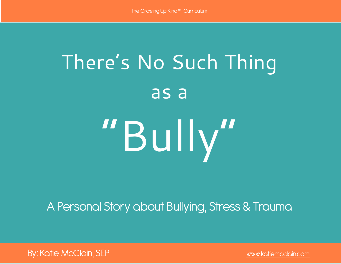# There's No Such Thing as a "Bully"

A Personal Story about Bullying, Stress & Trauma

By: Katie McClain, SEP [www.katiemcclain.com](http://www.katiemcclain.com)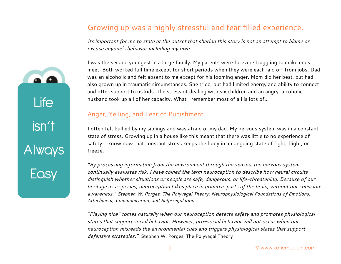#### Growing up was a highly stressful and fear filled experience.

*Its important for me to state at the outset that sharing this story is not an attempt to blame or excuse anyone's behavior including my own.* 

I was the second youngest in a large family. My parents were forever struggling to make ends meet. Both worked full time except for short periods when they were each laid off from jobs. Dad was an alcoholic and felt absent to me except for his looming anger. Mom did her best, but had also grown up in traumatic circumstances. She tried, but had limited energy and ability to connect and offer support to us kids. The stress of dealing with six children and an angry, alcoholic husband took up all of her capacity. What I remember most of all is lots of…

#### Anger, Yelling, and Fear of Punishment.

I often felt bullied by my siblings and was afraid of my dad. My nervous system was in a constant state of stress. Growing up in a house like this meant that there was little to no experience of safety. I know now that constant stress keeps the body in an ongoing state of fight, flight, or freeze.

*"By processing information from the environment through the senses, the nervous system continually evaluates risk. I have coined the term neuroception to describe how neural circuits distinguish whether situations or people are safe, dangerous, or life-threatening. Because of our heritage as a species, neuroception takes place in primitive parts of the brain, without our conscious awareness." Stephen W. Porges, The Polyvagal Theory: Neurophysiological Foundations of Emotions, Attachment, Communication, and Self-regulation*

*"Playing nice" comes naturally when our neuroception detects safety and promotes physiological states that support social behavior. However, pro-social behavior will not occur when our neuroception misreads the environmental cues and triggers physiological states that support defensive strategies."* Stephen W. Porges, The Polyvagal Theory

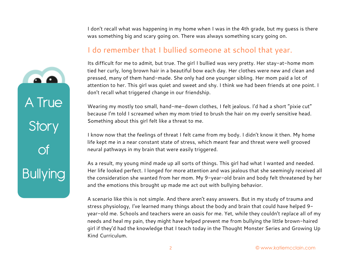I don't recall what was happening in my home when I was in the 4th grade, but my guess is there was something big and scary going on. There was always something scary going on.

#### I do remember that I bullied someone at school that year.

Its difficult for me to admit, but true. The girl I bullied was very pretty. Her stay-at-home mom tied her curly, long brown hair in a beautiful bow each day. Her clothes were new and clean and pressed, many of them hand-made. She only had one younger sibling. Her mom paid a lot of attention to her. This girl was quiet and sweet and shy. I think we had been friends at one point. I don't recall what triggered change in our friendship.

Wearing my mostly too small, hand-me-down clothes, I felt jealous. I'd had a short "pixie cut" because I'm told I screamed when my mom tried to brush the hair on my overly sensitive head. Something about this girl felt like a threat to me.

I know now that the feelings of threat I felt came from my body. I didn't know it then. My home life kept me in a near constant state of stress, which meant fear and threat were well grooved neural pathways in my brain that were easily triggered.

As a result, my young mind made up all sorts of things. This girl had what I wanted and needed. Her life looked perfect. I longed for more attention and was jealous that she seemingly received all the consideration she wanted from her mom. My 9-year-old brain and body felt threatened by her and the emotions this brought up made me act out with bullying behavior.

A scenario like this is not simple. And there aren't easy answers. But in my study of trauma and stress physiology, I've learned many things about the body and brain that could have helped 9 year-old me. Schools and teachers were an oasis for me. Yet, while they couldn't replace all of my needs and heal my pain, they might have helped prevent me from bullying the little brown-haired girl if they'd had the knowledge that I teach today in the Thought Monster Series and Growing Up Kind Curriculum.

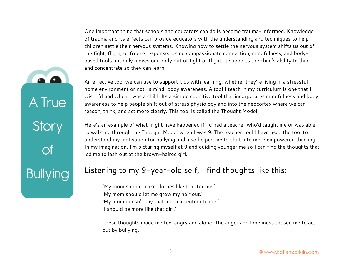One important thing that schools and educators can do is become [trauma-Informed.](http://www.echoparenting.org/trauma-informed-schools/) Knowledge of trauma and its effects can provide educators with the understanding and techniques to help children settle their nervous systems. Knowing how to settle the nervous system shifts us out of the fight, flight, or freeze response. Using compassionate connection, mindfulness, and bodybased tools not only moves our body out of fight or flight, it supports the child's ability to think and concentrate so they can learn.

An effective tool we can use to support kids with learning, whether they're living in a stressful home environment or not, is mind-body awareness. A tool I teach in my curriculum is one that I wish I'd had when I was a child. Its a simple cognitive tool that incorporates mindfulness and body awareness to help people shift out of stress physiology and into the neocortex where we can reason, think, and act more clearly. This tool is called the Thought Model.

Here's an example of what might have happened if I'd had a teacher who'd taught me or was able to walk me through the Thought Model when I was 9. The teacher could have used the tool to understand my motivation for bullying and also helped me to shift into more empowered thinking. In my imagination, I'm picturing myself at 9 and guiding younger me so I can find the thoughts that led me to lash out at the brown-haired girl.

#### Listening to my 9-year-old self, I find thoughts like this:

'My mom should make clothes like that for me.' 'My mom should let me grow my hair out.' 'My mom doesn't pay that much attention to me.' 'I should be more like that girl.'

A True

**Story** 

of

**Bullying** 

These thoughts made me feel angry and alone. The anger and loneliness caused me to act out by bullying.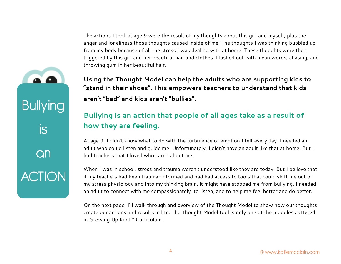The actions I took at age 9 were the result of my thoughts about this girl and myself, plus the anger and loneliness those thoughts caused inside of me. The thoughts I was thinking bubbled up from my body because of all the stress I was dealing with at home. These thoughts were then triggered by this girl and her beautiful hair and clothes. I lashed out with mean words, chasing, and throwing gum in her beautiful hair.

**Using the Thought Model can help the adults who are supporting kids to "stand in their shoes". This empowers teachers to understand that kids aren't "bad" and kids aren't "bullies".**

#### **Bullying is an action that people of all ages take as a result of how they are feeling.**

At age 9, I didn't know what to do with the turbulence of emotion I felt every day. I needed an adult who could listen and guide me. Unfortunately, I didn't have an adult like that at home. But I had teachers that I loved who cared about me.

When I was in school, stress and trauma weren't understood like they are today. But I believe that if my teachers had been trauma-informed and had had access to tools that could shift me out of my stress physiology and into my thinking brain, it might have stopped me from bullying. I needed an adult to connect with me compassionately, to listen, and to help me feel better and do better.

On the next page, I'll walk through and overview of the Thought Model to show how our thoughts create our actions and results in life. The Thought Model tool is only one of the moduless offered in Growing Up Kind™ Curriculum.



Bullying

is

an

**ACTION**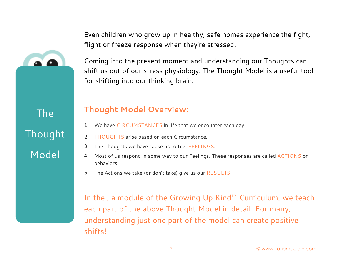Even children who grow up in healthy, safe homes experience the fight, flight or freeze response when they're stressed.



Coming into the present moment and understanding our Thoughts can shift us out of our stress physiology. The Thought Model is a useful tool for shifting into our thinking brain.

The Thought Model

#### **Thought Model Overview:**

- 1. We have CIRCUMSTANCES in life that we encounter each day.
- 2. THOUGHTS arise based on each Circumstance.
- 3. The Thoughts we have cause us to feel FEELINGS.
- 4. Most of us respond in some way to our Feelings. These responses are called ACTIONS or behaviors.
- 5. The Actions we take (or don't take) give us our RESULTS.

In the , a module of the Growing Up Kind™ Curriculum, we teach each part of the above Thought Model in detail. For many, understanding just one part of the model can create positive shifts!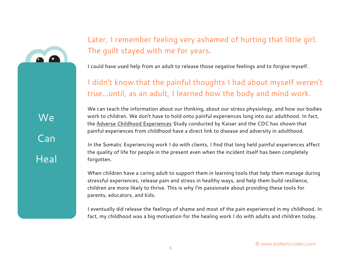### Later, I remember feeling very ashamed of hurting that little girl. The guilt stayed with me for years.

I could have used help from an adult to release those negative feelings and to forgive myself.

I didn't know that the painful thoughts I had about myself weren't true…until, as an adult, I learned how the body and mind work.

We Can **Heal**  We can teach the information about our thinking, about our stress physiology, and how our bodies work to children. We don't have to hold onto painful experiences long into our adulthood. In fact, the [Adverse Childhood Experiences](https://www.cdc.gov/violenceprevention/acestudy/index.html) Study conducted by Kaiser and the CDC has shown that painful experiences from childhood have a direct link to disease and adversity in adulthood.

In the Somatic Experiencing work I do with clients, I find that long held painful experiences affect the quality of life for people in the present even when the incident itself has been completely forgotten.

When children have a caring adult to support them in learning tools that help them manage during stressful experiences, release pain and stress in healthy ways, and help them build resilience, children are more likely to thrive. This is why I'm passionate about providing these tools for parents, educators, and kids.

I eventually did release the feelings of shame and most of the pain experienced in my childhood. In fact, my childhood was a big motivation for the healing work I do with adults and children today.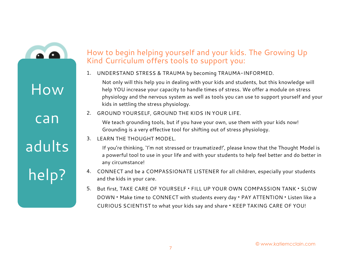

How

can

## adults

## help?

#### How to begin helping yourself and your kids. The Growing Up Kind Curriculum offers tools to support you:

1. UNDERSTAND STRESS & TRAUMA by becoming TRAUMA-INFORMED.

Not only will this help you in dealing with your kids and students, but this knowledge will help YOU increase your capacity to handle times of stress. We offer a module on stress physiology and the nervous system as well as tools you can use to support yourself and your kids in settling the stress physiology.

2. GROUND YOURSELF, GROUND THE KIDS IN YOUR LIFE.

We teach grounding tools, but if you have your own, use them with your kids now! Grounding is a very effective tool for shifting out of stress physiology.

3. LEARN THE THOUGHT MODEL.

If you're thinking, 'I'm not stressed or traumatized!', please know that the Thought Model is a powerful tool to use in your life and with your students to help feel better and do better in any circumstance!

- 4. CONNECT and be a COMPASSIONATE LISTENER for all children, especially your students and the kids in your care*.*
- 5. But first, TAKE CARE OF YOURSELF **•** FILL UP YOUR OWN COMPASSION TANK **•** SLOW DOWN **•** Make time to CONNECT with students every day **•** PAY ATTENTION **•** Listen like a CURIOUS SCIENTIST to what your kids say and share **•** KEEP TAKING CARE OF YOU!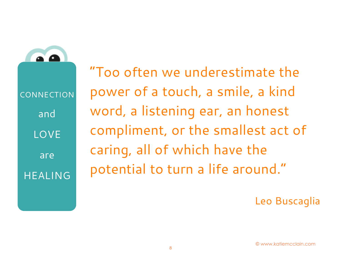**CONNECTION** and **LOVE** are HEALING

"Too often we underestimate the power of a touch, a smile, a kind word, a listening ear, an honest compliment, or the smallest act of caring, all of which have the potential to turn a life around."

Leo Buscaglia